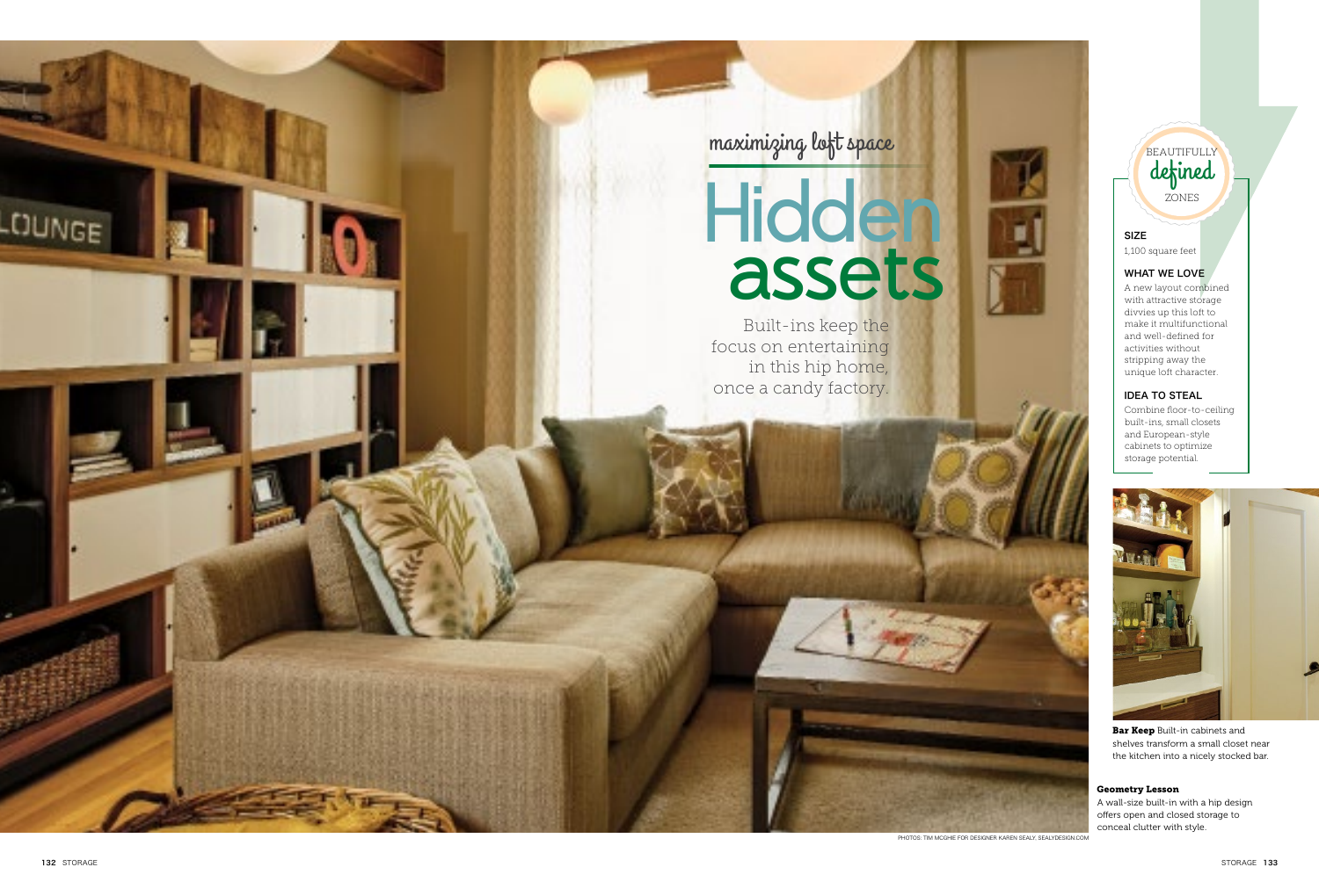# SIZE

1,100 square feet

## WHAT WE LOVE

A new layout combined with attractive storage divvies up this loft to make it multifunctional and well-defined for activities without stripping away the unique loft character.

# **Hidden** assets

### IDEA TO STEAL



**Bar Keep** Built-in cabinets and shelves transform a small closet near the kitchen into a nicely stocked bar.

Combine floor-to-ceiling built-ins, small closets and European-style cabinets to optimize storage potential.



Built-ins keep the focus on entertaining in this hip home, once a candy factory.

maximizing loft space

#### Geometry Lesson

A wall-size built-in with a hip design offers open and closed storage to conceal clutter with style.

PHOTOS: TIM MCGHIE FOR DESIGNER KAREN SEALY, SEALYDESIGN.COM

**LOUNGE**